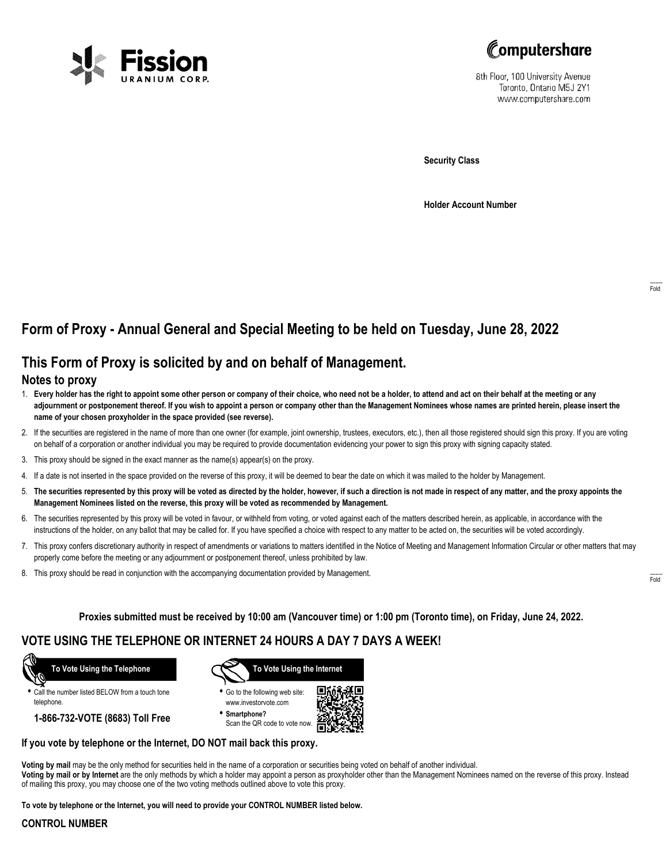



8th Floor, 100 University Avenue Toronto, Ontario M5J 2Y1 www.computershare.com

**Security Class**

**Holder Account Number**

# **Form of Proxy - Annual General and Special Meeting to be held on Tuesday, June 28, 2022**

## **This Form of Proxy is solicited by and on behalf of Management.**

### **Notes to proxy**

- 1. **Every holder has the right to appoint some other person or company of their choice, who need not be a holder, to attend and act on their behalf at the meeting or any adjournment or postponement thereof. If you wish to appoint a person or company other than the Management Nominees whose names are printed herein, please insert the name of your chosen proxyholder in the space provided (see reverse).**
- 2. If the securities are registered in the name of more than one owner (for example, joint ownership, trustees, executors, etc.), then all those registered should sign this proxy. If you are voting on behalf of a corporation or another individual you may be required to provide documentation evidencing your power to sign this proxy with signing capacity stated.
- 3. This proxy should be signed in the exact manner as the name(s) appear(s) on the proxy.
- 4. If a date is not inserted in the space provided on the reverse of this proxy, it will be deemed to bear the date on which it was mailed to the holder by Management.
- 5. **The securities represented by this proxy will be voted as directed by the holder, however, if such a direction is not made in respect of any matter, and the proxy appoints the Management Nominees listed on the reverse, this proxy will be voted as recommended by Management.**
- 6. The securities represented by this proxy will be voted in favour, or withheld from voting, or voted against each of the matters described herein, as applicable, in accordance with the instructions of the holder, on any ballot that may be called for. If you have specified a choice with respect to any matter to be acted on, the securities will be voted accordingly.
- 7. This proxy confers discretionary authority in respect of amendments or variations to matters identified in the Notice of Meeting and Management Information Circular or other matters that may properly come before the meeting or any adjournment or postponement thereof, unless prohibited by law.
- 8. This proxy should be read in conjunction with the accompanying documentation provided by Management.

**Proxies submitted must be received by 10:00 am (Vancouver time) or 1:00 pm (Toronto time), on Friday, June 24, 2022.**

## **VOTE USING THE TELEPHONE OR INTERNET 24 HOURS A DAY 7 DAYS A WEEK!**



**•** Call the number listed BELOW from a touch tone telephone.

**1-866-732-VOTE (8683) Toll Free**



**•** Go to the following web site: www.investorvote.com

**• Smartphone?** Scan the QR code to vote now.



#### **If you vote by telephone or the Internet, DO NOT mail back this proxy.**

**Voting by mail** may be the only method for securities held in the name of a corporation or securities being voted on behalf of another individual. **Voting by mail or by Internet** are the only methods by which a holder may appoint a person as proxyholder other than the Management Nominees named on the reverse of this proxy. Instead of mailing this proxy, you may choose one of the two voting methods outlined above to vote this proxy.

**To vote by telephone or the Internet, you will need to provide your CONTROL NUMBER listed below.**

#### **CONTROL NUMBER**